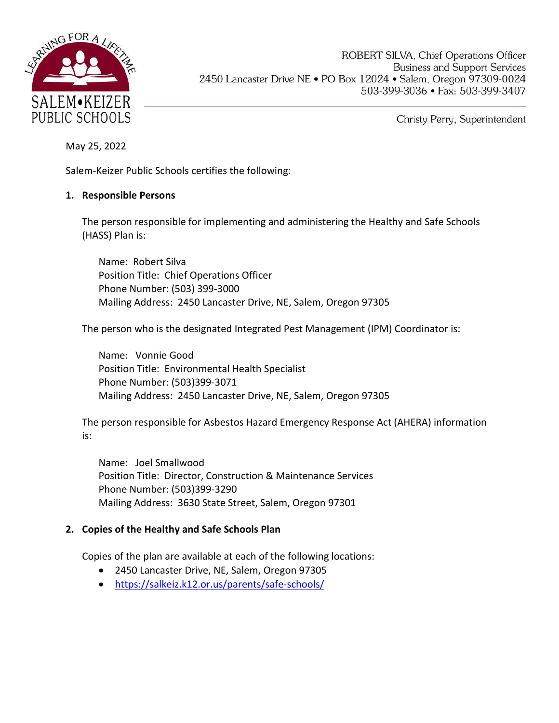

ROBERT SILVA, Chief Operations Officer **Business and Support Services** 2450 Lancaster Drive NE . PO Box 12024 . Salem, Oregon 97309-0024 503-399-3036 · Fax: 503-399-3407

Christy Perry, Superintendent

May 25, 2022

Salem-Keizer Public Schools certifies the following:

#### **1. Responsible Persons**

The person responsible for implementing and administering the Healthy and Safe Schools (HASS) Plan is:

Name: Robert Silva Position Title: Chief Operations Officer Phone Number: (503) 399-3000 Mailing Address: 2450 Lancaster Drive, NE, Salem, Oregon 97305

The person who is the designated Integrated Pest Management (IPM) Coordinator is:

Name: Vonnie Good Position Title: Environmental Health Specialist Phone Number: (503)399-3071 Mailing Address: 2450 Lancaster Drive, NE, Salem, Oregon 97305

The person responsible for Asbestos Hazard Emergency Response Act (AHERA) information is:

Name: Joel Smallwood Position Title: Director, Construction & Maintenance Services Phone Number: (503)399-3290 Mailing Address: 3630 State Street, Salem, Oregon 97301

#### **2. Copies of the Healthy and Safe Schools Plan**

Copies of the plan are available at each of the following locations:

- 2450 Lancaster Drive, NE, Salem, Oregon 97305
- <https://salkeiz.k12.or.us/parents/safe-schools/>